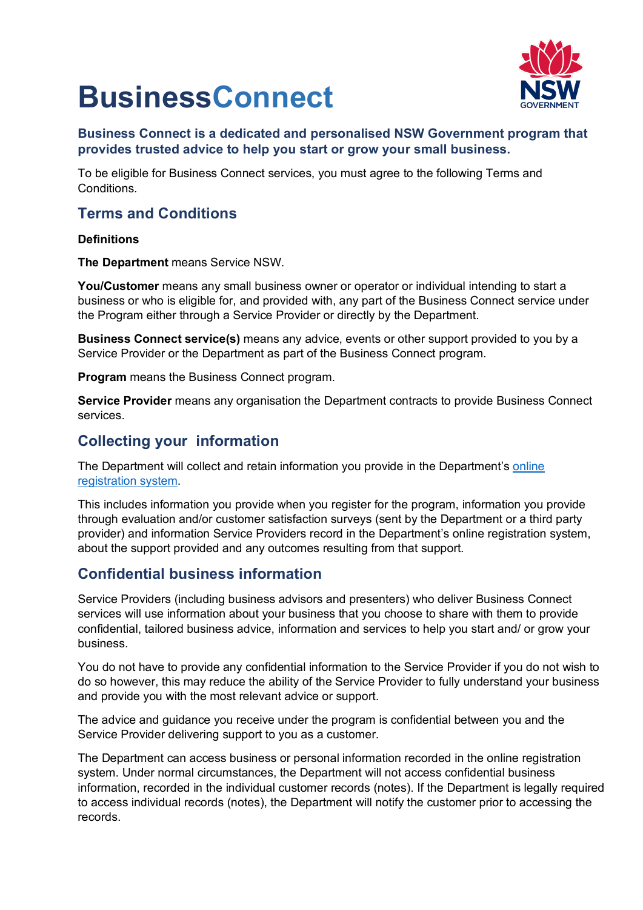# **BusinessConnect**<br>Business Connect is a dedicated and personalised NSW Government program that



### **provides trusted advice to help you start or grow your small business.**

To be eligible for Business Connect services, you must agree to the following Terms and Conditions.

### **Terms and Conditions**

#### **Definitions**

**The Department** means Service NSW.

**You/Customer** means any small business owner or operator or individual intending to start a business or who is eligible for, and provided with, any part of the Business Connect service under the Program either through a Service Provider or directly by the Department.

**Business Connect service(s)** means any advice, events or other support provided to you by a Service Provider or the Department as part of the Business Connect program.

**Program** means the Business Connect program.

**Service Provider** means any organisation the Department contracts to provide Business Connect services.

### **Collecting your information**

The Department will collect and retain information you provide in the Department's [online](https://business-connect-register.industry.nsw.gov.au/Home/Loginsignup)  [registration system.](https://business-connect-register.industry.nsw.gov.au/Home/Loginsignup)

This includes information you provide when you register for the program, information you provide through evaluation and/or customer satisfaction surveys (sent by the Department or a third party provider) and information Service Providers record in the Department's online registration system, about the support provided and any outcomes resulting from that support.

### **Confidential business information**

Service Providers (including business advisors and presenters) who deliver Business Connect services will use information about your business that you choose to share with them to provide confidential, tailored business advice, information and services to help you start and/ or grow your business.

You do not have to provide any confidential information to the Service Provider if you do not wish to do so however, this may reduce the ability of the Service Provider to fully understand your business and provide you with the most relevant advice or support.

The advice and guidance you receive under the program is confidential between you and the Service Provider delivering support to you as a customer.

The Department can access business or personal information recorded in the online registration system. Under normal circumstances, the Department will not access confidential business information, recorded in the individual customer records (notes). If the Department is legally required to access individual records (notes), the Department will notify the customer prior to accessing the records.